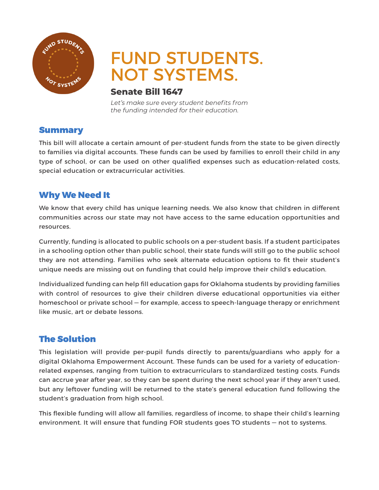

# FUND STUDENTS. NOT SYSTEMS.

#### **Senate Bill 1647**

*Let's make sure every student benefits from the funding intended for their education.* 

#### Summary

This bill will allocate a certain amount of per-student funds from the state to be given directly to families via digital accounts. These funds can be used by families to enroll their child in any type of school, or can be used on other qualified expenses such as education-related costs, special education or extracurricular activities.

## Why We Need It

We know that every child has unique learning needs. We also know that children in different communities across our state may not have access to the same education opportunities and resources.

Currently, funding is allocated to public schools on a per-student basis. If a student participates in a schooling option other than public school, their state funds will still go to the public school they are not attending. Families who seek alternate education options to fit their student's unique needs are missing out on funding that could help improve their child's education.

Individualized funding can help fill education gaps for Oklahoma students by providing families with control of resources to give their children diverse educational opportunities via either homeschool or private school — for example, access to speech-language therapy or enrichment like music, art or debate lessons.

## The Solution

This legislation will provide per-pupil funds directly to parents/guardians who apply for a digital Oklahoma Empowerment Account. These funds can be used for a variety of educationrelated expenses, ranging from tuition to extracurriculars to standardized testing costs. Funds can accrue year after year, so they can be spent during the next school year if they aren't used, but any leftover funding will be returned to the state's general education fund following the student's graduation from high school.

This flexible funding will allow all families, regardless of income, to shape their child's learning environment. It will ensure that funding FOR students goes TO students — not to systems.